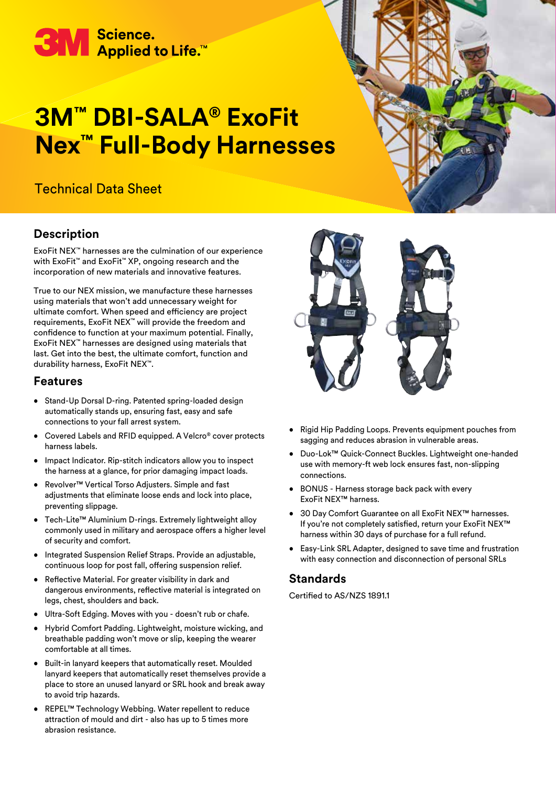

# **3M™ DBI-SALA® ExoFit Nex™ Full-Body Harnesses**

### Technical Data Sheet

#### **Description**

ExoFit NEX™ harnesses are the culmination of our experience with ExoFit™ and ExoFit™ XP, ongoing research and the incorporation of new materials and innovative features.

True to our NEX mission, we manufacture these harnesses using materials that won't add unnecessary weight for ultimate comfort. When speed and efficiency are project requirements, ExoFit NEX™ will provide the freedom and confidence to function at your maximum potential. Finally, ExoFit NEX™ harnesses are designed using materials that last. Get into the best, the ultimate comfort, function and durability harness, ExoFit NEX™.

#### **Features**

- Stand-Up Dorsal D-ring. Patented spring-loaded design automatically stands up, ensuring fast, easy and safe connections to your fall arrest system.
- Covered Labels and RFID equipped. A Velcro® cover protects harness labels.
- Impact Indicator. Rip-stitch indicators allow you to inspect the harness at a glance, for prior damaging impact loads.
- Revolver™ Vertical Torso Adjusters. Simple and fast adjustments that eliminate loose ends and lock into place, preventing slippage.
- Tech-Lite™ Aluminium D-rings. Extremely lightweight alloy commonly used in military and aerospace offers a higher level of security and comfort.
- Integrated Suspension Relief Straps. Provide an adjustable, continuous loop for post fall, offering suspension relief.
- Reflective Material. For greater visibility in dark and dangerous environments, reflective material is integrated on legs, chest, shoulders and back.
- Ultra-Soft Edging. Moves with you doesn't rub or chafe.
- Hybrid Comfort Padding. Lightweight, moisture wicking, and breathable padding won't move or slip, keeping the wearer comfortable at all times.
- Built-in lanyard keepers that automatically reset. Moulded lanyard keepers that automatically reset themselves provide a place to store an unused lanyard or SRL hook and break away to avoid trip hazards.
- REPEL™ Technology Webbing. Water repellent to reduce attraction of mould and dirt - also has up to 5 times more abrasion resistance.



- Rigid Hip Padding Loops. Prevents equipment pouches from sagging and reduces abrasion in vulnerable areas.
- Duo-Lok™ Quick-Connect Buckles. Lightweight one-handed use with memory-ft web lock ensures fast, non-slipping connections.
- BONUS Harness storage back pack with every ExoFit NEX™ harness.
- 30 Day Comfort Guarantee on all ExoFit NEX™ harnesses. If you're not completely satisfied, return your ExoFit NEX™ harness within 30 days of purchase for a full refund.
- Easy-Link SRL Adapter, designed to save time and frustration with easy connection and disconnection of personal SRLs

#### **Standards**

Certified to AS/NZS 1891.1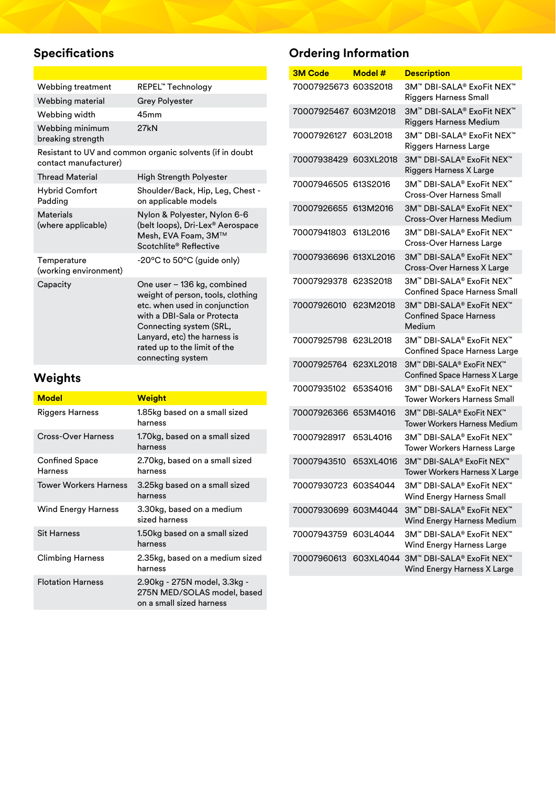# **Specifications**

| Webbing treatment                    | REPEL™ Technology     |
|--------------------------------------|-----------------------|
| Webbing material                     | <b>Grey Polyester</b> |
| Webbing width                        | 45mm                  |
| Webbing minimum<br>breaking strength | 27kN                  |

Resistant to UV and common organic solvents (if in doubt contact manufacturer)

| <b>Thread Material</b>               | <b>High Strength Polyester</b>                                                                                                                                                                                                                   |
|--------------------------------------|--------------------------------------------------------------------------------------------------------------------------------------------------------------------------------------------------------------------------------------------------|
| <b>Hybrid Comfort</b><br>Padding     | Shoulder/Back, Hip, Leg, Chest -<br>on applicable models                                                                                                                                                                                         |
| Materials<br>(where applicable)      | Nylon & Polyester, Nylon 6-6<br>(belt loops), Dri-Lex <sup>®</sup> Aerospace<br>Mesh, EVA Foam, 3M™<br>Scotchlite® Reflective                                                                                                                    |
| Temperature<br>(working environment) | -20°C to 50°C (guide only)                                                                                                                                                                                                                       |
| Capacity                             | One user - 136 kg, combined<br>weight of person, tools, clothing<br>etc. when used in conjunction<br>with a DBI-Sala or Protecta<br>Connecting system (SRL,<br>Lanyard, etc) the harness is<br>rated up to the limit of the<br>connecting system |

# **Weights**

| <b>Model</b>                            | <b>Weight</b>                                                                           |
|-----------------------------------------|-----------------------------------------------------------------------------------------|
| Riggers Harness                         | 1.85kg based on a small sized<br>harness                                                |
| Cross-Over Harness                      | 1.70kg, based on a small sized<br>harness                                               |
| <b>Confined Space</b><br><b>Harness</b> | 2.70kg, based on a small sized<br>harness                                               |
| <b>Tower Workers Harness</b>            | 3.25kg based on a small sized<br>harness                                                |
| <b>Wind Energy Harness</b>              | 3.30kg, based on a medium<br>sized harness                                              |
| <b>Sit Harness</b>                      | 1.50kg based on a small sized<br>harness                                                |
| Climbing Harness                        | 2.35kg, based on a medium sized<br>harness                                              |
| <b>Flotation Harness</b>                | 2.90kg - 275N model, 3.3kg -<br>275N MED/SOLAS model, based<br>on a small sized harness |

# **Ordering Information**

| <b>3M Code</b>        | Model#    | <b>Description</b>                                                   |
|-----------------------|-----------|----------------------------------------------------------------------|
| 70007925673 603S2018  |           | 3M™ DBI-SALA® ExoFit NEX™<br><b>Riggers Harness Small</b>            |
| 70007925467 603M2018  |           | 3M™ DBI-SALA® ExoFit NEX™<br><b>Riggers Harness Medium</b>           |
| 70007926127           | 603L2018  | 3M™ DBI-SAI A® FxoFit NFX™<br><b>Riggers Harness Large</b>           |
| 70007938429           | 603XL2018 | 3M™ DBI-SALA® ExoFit NEX™<br>Riggers Harness X Large                 |
| 70007946505           | 613S2016  | 3M™ DBI-SAI A® FxoFit NFX™<br>Cross-Over Harness Small               |
| 70007926655           | 613M2016  | 3M™ DBI-SALA® ExoFit NEX™<br><b>Cross-Over Harness Medium</b>        |
| 70007941803           | 613L2016  | 3M™ DBI-SALA® ExoFit NEX™<br>Cross-Over Harness Large                |
| 70007936696 613XL2016 |           | 3M™ DBI-SALA® ExoFit NEX™<br><b>Cross-Over Harness X Large</b>       |
| 70007929378           | 623S2018  | 3M™ DBI-SALA® ExoFit NEX™<br><b>Confined Space Harness Small</b>     |
| 70007926010           | 623M2018  | 3M™ DBI-SALA® ExoFit NEX™<br><b>Confined Space Harness</b><br>Medium |
| 70007925798           | 623L2018  | 3M™ DBI-SALA® ExoFit NEX™<br><b>Confined Space Harness Large</b>     |
| 70007925764           | 623XL2018 | 3M™ DBI-SALA® ExoFit NEX™<br><b>Confined Space Harness X Large</b>   |
| 70007935102           | 653S4016  | 3M™ DBI-SALA® ExoFit NEX™<br><b>Tower Workers Harness Small</b>      |
| 70007926366           | 653M4016  | 3M™ DBI-SALA® ExoFit NEX™<br><b>Tower Workers Harness Medium</b>     |
| 70007928917           | 653L4016  | 3M™ DBI-SALA® ExoFit NEX™<br><b>Tower Workers Harness Large</b>      |
| 70007943510           | 653XL4016 | 3M™ DBI-SALA® ExoFit NEX™<br><b>Tower Workers Harness X Large</b>    |
| 70007930723 603S4044  |           | 3M‴ DBI-SALA® ExoFit NEX<br>Wind Energy Harness Small                |
| 70007930699 603M4044  |           | 3M™ DBI-SALA® ExoFit NEX™<br>Wind Energy Harness Medium              |
| 70007943759           | 603L4044  | 3M™ DBI-SALA® ExoFit NEX™<br>Wind Energy Harness Large               |
| 70007960613           | 603XL4044 | 3M™ DBI-SALA® ExoFit NEX™<br>Wind Energy Harness X Large             |